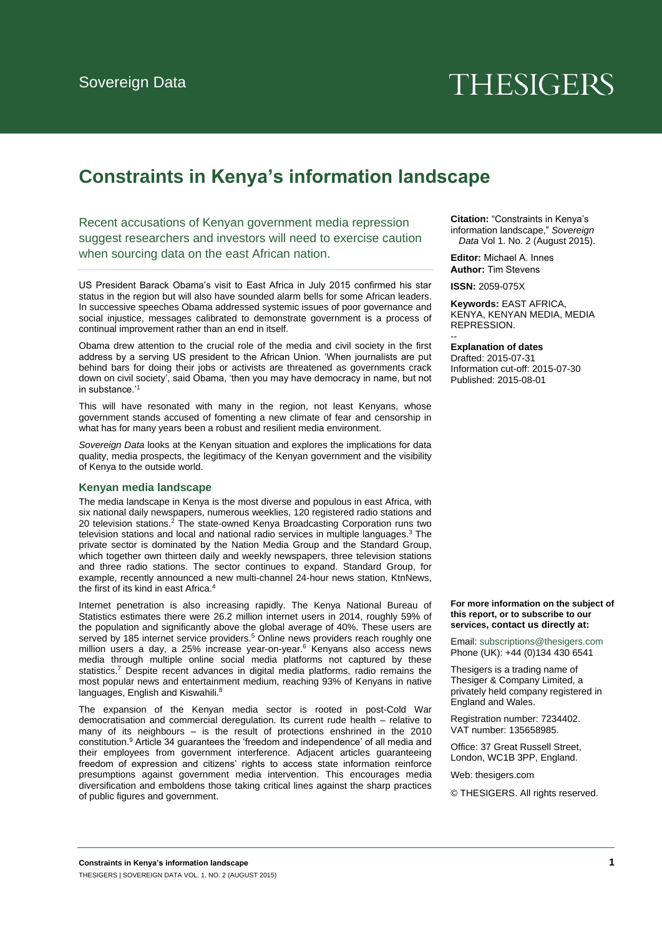# **THESIGERS**

# **Constraints in Kenya's information landscape**

Recent accusations of Kenyan government media repression suggest researchers and investors will need to exercise caution when sourcing data on the east African nation.

US President Barack Obama's visit to East Africa in July 2015 confirmed his star status in the region but will also have sounded alarm bells for some African leaders. In successive speeches Obama addressed systemic issues of poor governance and social injustice, messages calibrated to demonstrate government is a process of continual improvement rather than an end in itself.

Obama drew attention to the crucial role of the media and civil society in the first address by a serving US president to the African Union. 'When journalists are put behind bars for doing their jobs or activists are threatened as governments crack down on civil society', said Obama, 'then you may have democracy in name, but not in substance.'<sup>1</sup>

This will have resonated with many in the region, not least Kenyans, whose government stands accused of fomenting a new climate of fear and censorship in what has for many years been a robust and resilient media environment.

*Sovereign Data* looks at the Kenyan situation and explores the implications for data quality, media prospects, the legitimacy of the Kenyan government and the visibility of Kenya to the outside world.

#### **Kenyan media landscape**

The media landscape in Kenya is the most diverse and populous in east Africa, with six national daily newspapers, numerous weeklies, 120 registered radio stations and 20 television stations.<sup>2</sup> The state-owned Kenya Broadcasting Corporation runs two television stations and local and national radio services in multiple languages.<sup>3</sup> The private sector is dominated by the Nation Media Group and the Standard Group, which together own thirteen daily and weekly newspapers, three television stations and three radio stations. The sector continues to expand. Standard Group, for example, recently announced a new multi-channel 24-hour news station, KtnNews, the first of its kind in east Africa.<sup>4</sup>

Internet penetration is also increasing rapidly. The Kenya National Bureau of Statistics estimates there were 26.2 million internet users in 2014, roughly 59% of the population and significantly above the global average of 40%. These users are served by 185 internet service providers.<sup>5</sup> Online news providers reach roughly one million users a day, a 25% increase year-on-year.<sup>6</sup> Kenyans also access news media through multiple online social media platforms not captured by these statistics.<sup>7</sup> Despite recent advances in digital media platforms, radio remains the most popular news and entertainment medium, reaching 93% of Kenyans in native languages, English and Kiswahili.<sup>8</sup>

The expansion of the Kenyan media sector is rooted in post-Cold War democratisation and commercial deregulation. Its current rude health – relative to many of its neighbours – is the result of protections enshrined in the 2010 constitution.<sup>9</sup> Article 34 guarantees the 'freedom and independence' of all media and their employees from government interference. Adjacent articles guaranteeing freedom of expression and citizens' rights to access state information reinforce presumptions against government media intervention. This encourages media diversification and emboldens those taking critical lines against the sharp practices of public figures and government.

**Citation:** "Constraints in Kenya's information landscape," *Sovereign Data* Vol 1. No. 2 (August 2015).

**Editor:** Michael A. Innes **Author:** Tim Stevens

**ISSN:** 2059-075X

**Keywords:** EAST AFRICA, KENYA, KENYAN MEDIA, MEDIA REPRESSION.

**Explanation of dates** 

--

Drafted: 2015-07-31 Information cut-off: 2015-07-30 Published: 2015-08-01

**For more information on the subject of this report, or to subscribe to our services, contact us directly at:**

Email[: subscriptions@thesigers.com](mailto:subscriptions@thesigers.com) Phone (UK): +44 (0)134 430 6541

Thesigers is a trading name of Thesiger & Company Limited, a privately held company registered in England and Wales.

Registration number: 7234402. VAT number: 135658985.

Office: 37 Great Russell Street, London, WC1B 3PP, England.

Web: thesigers.com

© THESIGERS. All rights reserved.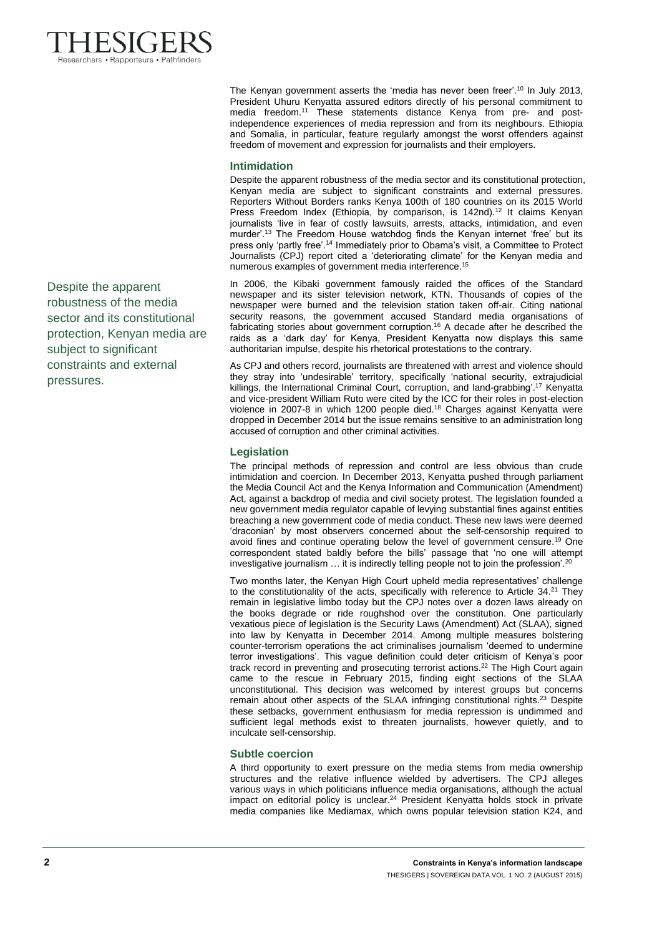

Despite the apparent robustness of the media sector and its constitutional protection, Kenyan media are subject to significant constraints and external pressures.

The Kenyan government asserts the 'media has never been freer'.<sup>10</sup> In July 2013, President Uhuru Kenyatta assured editors directly of his personal commitment to media freedom.<sup>11</sup> These statements distance Kenya from pre- and postindependence experiences of media repression and from its neighbours. Ethiopia and Somalia, in particular, feature regularly amongst the worst offenders against freedom of movement and expression for journalists and their employers.

# **Intimidation**

Despite the apparent robustness of the media sector and its constitutional protection, Kenyan media are subject to significant constraints and external pressures. Reporters Without Borders ranks Kenya 100th of 180 countries on its 2015 World Press Freedom Index (Ethiopia, by comparison, is 142nd).<sup>12</sup> It claims Kenyan journalists 'live in fear of costly lawsuits, arrests, attacks, intimidation, and even murder'.<sup>13</sup> The Freedom House watchdog finds the Kenyan internet 'free' but its press only 'partly free'.<sup>14</sup> Immediately prior to Obama's visit, a Committee to Protect Journalists (CPJ) report cited a 'deteriorating climate' for the Kenyan media and numerous examples of government media interference.<sup>15</sup>

In 2006, the Kibaki government famously raided the offices of the Standard newspaper and its sister television network, KTN. Thousands of copies of the newspaper were burned and the television station taken off-air. Citing national security reasons, the government accused Standard media organisations of fabricating stories about government corruption.<sup>16</sup> A decade after he described the raids as a 'dark day' for Kenya, President Kenyatta now displays this same authoritarian impulse, despite his rhetorical protestations to the contrary.

As CPJ and others record, journalists are threatened with arrest and violence should they stray into 'undesirable' territory, specifically 'national security, extrajudicial killings, the International Criminal Court, corruption, and land-grabbing'.<sup>17</sup> Kenyatta and vice-president William Ruto were cited by the ICC for their roles in post-election violence in 2007-8 in which 1200 people died.<sup>18</sup> Charges against Kenyatta were dropped in December 2014 but the issue remains sensitive to an administration long accused of corruption and other criminal activities.

# **Legislation**

The principal methods of repression and control are less obvious than crude intimidation and coercion. In December 2013, Kenyatta pushed through parliament the Media Council Act and the Kenya Information and Communication (Amendment) Act, against a backdrop of media and civil society protest. The legislation founded a new government media regulator capable of levying substantial fines against entities breaching a new government code of media conduct. These new laws were deemed 'draconian' by most observers concerned about the self-censorship required to avoid fines and continue operating below the level of government censure.<sup>19</sup> One correspondent stated baldly before the bills' passage that 'no one will attempt investigative journalism … it is indirectly telling people not to join the profession'.<sup>20</sup>

Two months later, the Kenyan High Court upheld media representatives' challenge to the constitutionality of the acts, specifically with reference to Article 34.<sup>21</sup> They remain in legislative limbo today but the CPJ notes over a dozen laws already on the books degrade or ride roughshod over the constitution. One particularly vexatious piece of legislation is the Security Laws (Amendment) Act (SLAA), signed into law by Kenyatta in December 2014. Among multiple measures bolstering counter-terrorism operations the act criminalises journalism 'deemed to undermine terror investigations'. This vague definition could deter criticism of Kenya's poor track record in preventing and prosecuting terrorist actions.<sup>22</sup> The High Court again came to the rescue in February 2015, finding eight sections of the SLAA unconstitutional. This decision was welcomed by interest groups but concerns remain about other aspects of the SLAA infringing constitutional rights.<sup>23</sup> Despite these setbacks, government enthusiasm for media repression is undimmed and sufficient legal methods exist to threaten journalists, however quietly, and to inculcate self-censorship.

## **Subtle coercion**

A third opportunity to exert pressure on the media stems from media ownership structures and the relative influence wielded by advertisers. The CPJ alleges various ways in which politicians influence media organisations, although the actual impact on editorial policy is unclear.<sup>24</sup> President Kenyatta holds stock in private media companies like Mediamax, which owns popular television station K24, and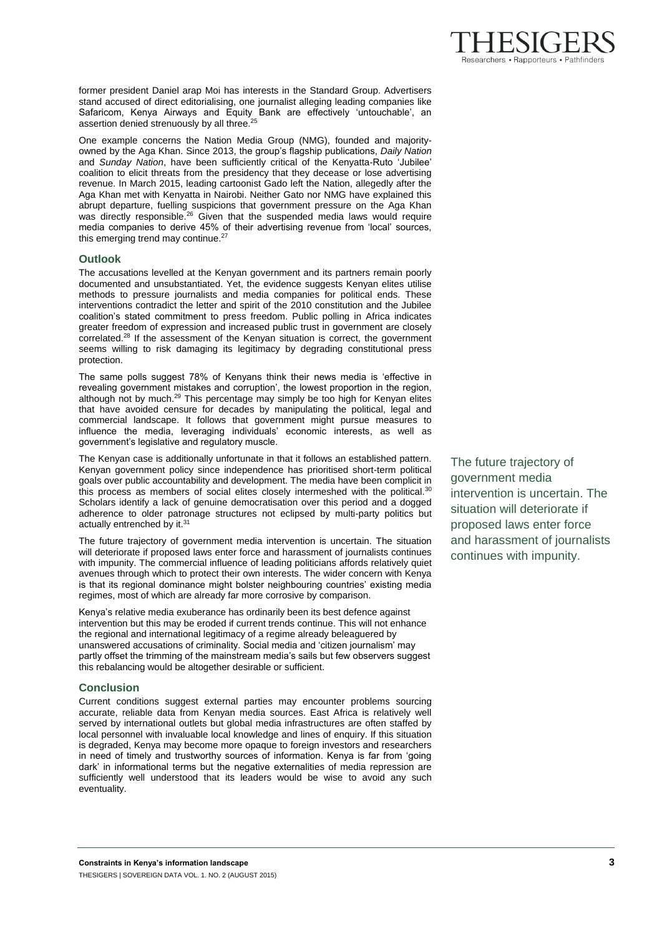

former president Daniel arap Moi has interests in the Standard Group. Advertisers stand accused of direct editorialising, one journalist alleging leading companies like Safaricom, Kenya Airways and Equity Bank are effectively 'untouchable', an assertion denied strenuously by all three.<sup>25</sup>

One example concerns the Nation Media Group (NMG), founded and majorityowned by the Aga Khan. Since 2013, the group's flagship publications, *Daily Nation*  and *Sunday Nation*, have been sufficiently critical of the Kenyatta-Ruto 'Jubilee' coalition to elicit threats from the presidency that they decease or lose advertising revenue. In March 2015, leading cartoonist Gado left the Nation, allegedly after the Aga Khan met with Kenyatta in Nairobi. Neither Gato nor NMG have explained this abrupt departure, fuelling suspicions that government pressure on the Aga Khan was directly responsible.<sup>26</sup> Given that the suspended media laws would require media companies to derive 45% of their advertising revenue from 'local' sources, this emerging trend may continue.<sup>27</sup>

## **Outlook**

The accusations levelled at the Kenyan government and its partners remain poorly documented and unsubstantiated. Yet, the evidence suggests Kenyan elites utilise methods to pressure journalists and media companies for political ends. These interventions contradict the letter and spirit of the 2010 constitution and the Jubilee coalition's stated commitment to press freedom. Public polling in Africa indicates greater freedom of expression and increased public trust in government are closely correlated.<sup>28</sup> If the assessment of the Kenyan situation is correct, the government seems willing to risk damaging its legitimacy by degrading constitutional press protection.

The same polls suggest 78% of Kenyans think their news media is 'effective in revealing government mistakes and corruption', the lowest proportion in the region, although not by much.<sup>29</sup> This percentage may simply be too high for Kenyan elites that have avoided censure for decades by manipulating the political, legal and commercial landscape. It follows that government might pursue measures to influence the media, leveraging individuals' economic interests, as well as government's legislative and regulatory muscle.

The Kenyan case is additionally unfortunate in that it follows an established pattern. Kenyan government policy since independence has prioritised short-term political goals over public accountability and development. The media have been complicit in this process as members of social elites closely intermeshed with the political.<sup>30</sup> Scholars identify a lack of genuine democratisation over this period and a dogged adherence to older patronage structures not eclipsed by multi-party politics but actually entrenched by it.<sup>31</sup>

The future trajectory of government media intervention is uncertain. The situation will deteriorate if proposed laws enter force and harassment of journalists continues with impunity. The commercial influence of leading politicians affords relatively quiet avenues through which to protect their own interests. The wider concern with Kenya is that its regional dominance might bolster neighbouring countries' existing media regimes, most of which are already far more corrosive by comparison.

Kenya's relative media exuberance has ordinarily been its best defence against intervention but this may be eroded if current trends continue. This will not enhance the regional and international legitimacy of a regime already beleaguered by unanswered accusations of criminality. Social media and 'citizen journalism' may partly offset the trimming of the mainstream media's sails but few observers suggest this rebalancing would be altogether desirable or sufficient.

## **Conclusion**

Current conditions suggest external parties may encounter problems sourcing accurate, reliable data from Kenyan media sources. East Africa is relatively well served by international outlets but global media infrastructures are often staffed by local personnel with invaluable local knowledge and lines of enquiry. If this situation is degraded, Kenya may become more opaque to foreign investors and researchers in need of timely and trustworthy sources of information. Kenya is far from 'going dark' in informational terms but the negative externalities of media repression are sufficiently well understood that its leaders would be wise to avoid any such eventuality.

The future trajectory of government media intervention is uncertain. The situation will deteriorate if proposed laws enter force and harassment of journalists continues with impunity.